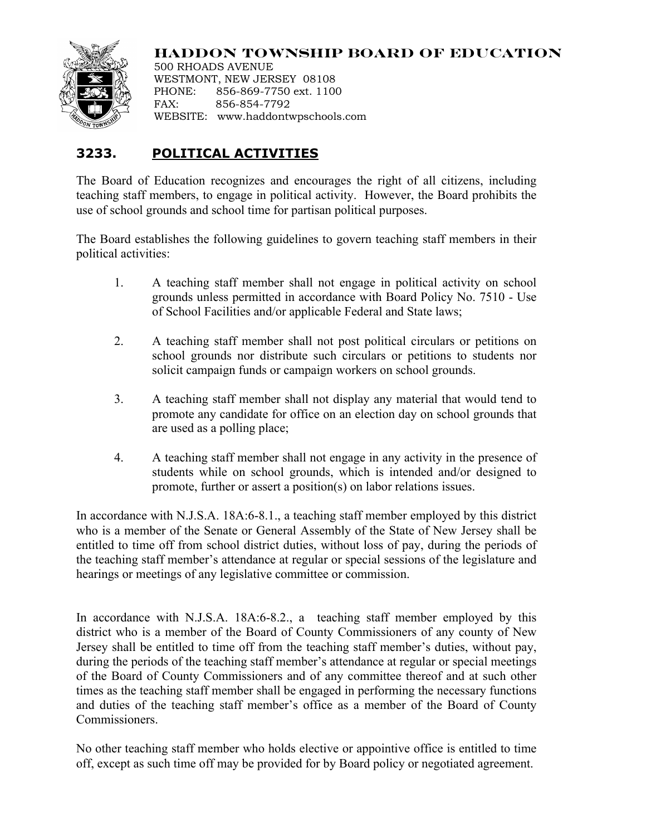

**HADDON TOWNSHIP BOARD OF EDUCATION**

500 RHOADS AVENUE WESTMONT, NEW JERSEY 08108 PHONE: 856-869-7750 ext. 1100 FAX: 856-854-7792 WEBSITE: www.haddontwpschools.com

## **3233. POLITICAL ACTIVITIES**

The Board of Education recognizes and encourages the right of all citizens, including teaching staff members, to engage in political activity. However, the Board prohibits the use of school grounds and school time for partisan political purposes.

The Board establishes the following guidelines to govern teaching staff members in their political activities:

- 1. A teaching staff member shall not engage in political activity on school grounds unless permitted in accordance with Board Policy No. 7510 - Use of School Facilities and/or applicable Federal and State laws;
- 2. A teaching staff member shall not post political circulars or petitions on school grounds nor distribute such circulars or petitions to students nor solicit campaign funds or campaign workers on school grounds.
- 3. A teaching staff member shall not display any material that would tend to promote any candidate for office on an election day on school grounds that are used as a polling place;
- 4. A teaching staff member shall not engage in any activity in the presence of students while on school grounds, which is intended and/or designed to promote, further or assert a position(s) on labor relations issues.

In accordance with N.J.S.A. 18A:6-8.1., a teaching staff member employed by this district who is a member of the Senate or General Assembly of the State of New Jersey shall be entitled to time off from school district duties, without loss of pay, during the periods of the teaching staff member's attendance at regular or special sessions of the legislature and hearings or meetings of any legislative committee or commission.

In accordance with N.J.S.A. 18A:6-8.2., a teaching staff member employed by this district who is a member of the Board of County Commissioners of any county of New Jersey shall be entitled to time off from the teaching staff member's duties, without pay, during the periods of the teaching staff member's attendance at regular or special meetings of the Board of County Commissioners and of any committee thereof and at such other times as the teaching staff member shall be engaged in performing the necessary functions and duties of the teaching staff member's office as a member of the Board of County Commissioners.

No other teaching staff member who holds elective or appointive office is entitled to time off, except as such time off may be provided for by Board policy or negotiated agreement.